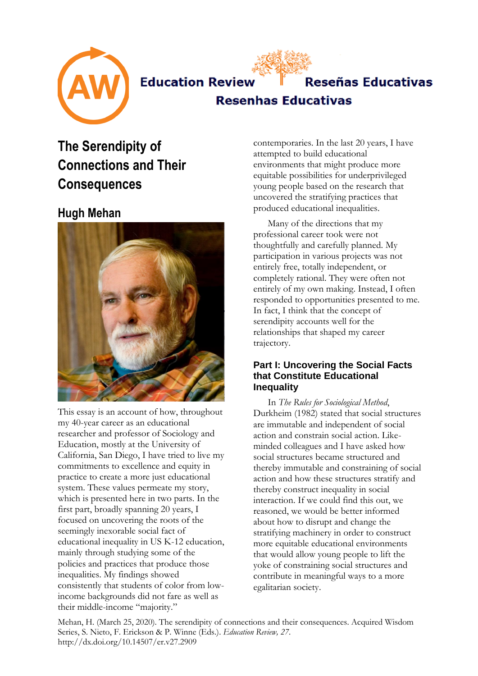



**Resenhas Educativas** 

# **The Serendipity of Connections and Their Consequences**

## **Hugh Mehan**



This essay is an account of how, throughout my 40-year career as an educational researcher and professor of Sociology and Education, mostly at the University of California, San Diego, I have tried to live my commitments to excellence and equity in practice to create a more just educational system. These values permeate my story, which is presented here in two parts. In the first part, broadly spanning 20 years, I focused on uncovering the roots of the seemingly inexorable social fact of educational inequality in US K-12 education, mainly through studying some of the policies and practices that produce those inequalities. My findings showed consistently that students of color from lowincome backgrounds did not fare as well as their middle-income "majority."

contemporaries. In the last 20 years, I have attempted to build educational environments that might produce more equitable possibilities for underprivileged young people based on the research that uncovered the stratifying practices that produced educational inequalities.

Many of the directions that my professional career took were not thoughtfully and carefully planned. My participation in various projects was not entirely free, totally independent, or completely rational. They were often not entirely of my own making. Instead, I often responded to opportunities presented to me. In fact, I think that the concept of serendipity accounts well for the relationships that shaped my career trajectory.

## **Part I: Uncovering the Social Facts that Constitute Educational Inequality**

In *The Rules for Sociological Method*, Durkheim (1982) stated that social structures are immutable and independent of social action and constrain social action. Likeminded colleagues and I have asked how social structures became structured and thereby immutable and constraining of social action and how these structures stratify and thereby construct inequality in social interaction. If we could find this out, we reasoned, we would be better informed about how to disrupt and change the stratifying machinery in order to construct more equitable educational environments that would allow young people to lift the yoke of constraining social structures and contribute in meaningful ways to a more egalitarian society.

Mehan, H. (March 25, 2020). The serendipity of connections and their consequences. Acquired Wisdom Series, S. Nieto, F. Erickson & P. Winne (Eds.). *Education Review, 27*. http://dx.doi.org/10.14507/er.v27.2909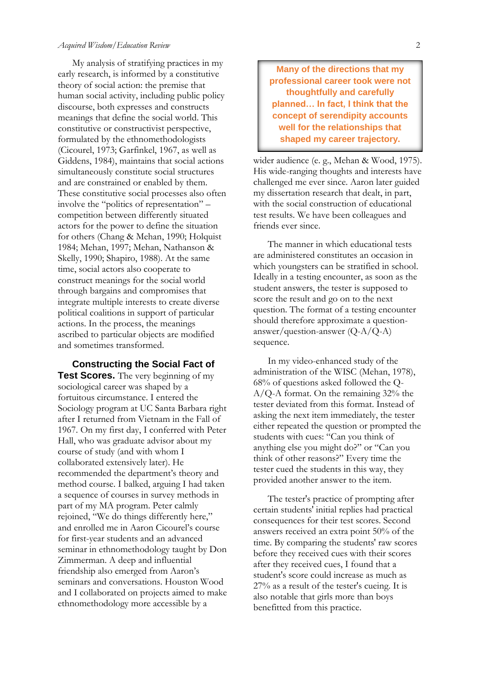My analysis of stratifying practices in my early research, is informed by a constitutive theory of social action: the premise that human social activity, including public policy discourse, both expresses and constructs meanings that define the social world. This constitutive or constructivist perspective, formulated by the ethnomethodologists (Cicourel, 1973; Garfinkel, 1967, as well as Giddens, 1984), maintains that social actions simultaneously constitute social structures and are constrained or enabled by them. These constitutive social processes also often involve the "politics of representation" – competition between differently situated actors for the power to define the situation for others (Chang & Mehan, 1990; Holquist 1984; Mehan, 1997; Mehan, Nathanson & Skelly, 1990; Shapiro, 1988). At the same time, social actors also cooperate to construct meanings for the social world through bargains and compromises that integrate multiple interests to create diverse political coalitions in support of particular actions. In the process, the meanings ascribed to particular objects are modified and sometimes transformed.

**Constructing the Social Fact of Test Scores.** The very beginning of my sociological career was shaped by a fortuitous circumstance. I entered the Sociology program at UC Santa Barbara right after I returned from Vietnam in the Fall of 1967. On my first day, I conferred with Peter Hall, who was graduate advisor about my course of study (and with whom I collaborated extensively later). He recommended the department's theory and method course. I balked, arguing I had taken a sequence of courses in survey methods in part of my MA program. Peter calmly rejoined, "We do things differently here," and enrolled me in Aaron Cicourel's course for first-year students and an advanced seminar in ethnomethodology taught by Don Zimmerman. A deep and influential friendship also emerged from Aaron's seminars and conversations. Houston Wood and I collaborated on projects aimed to make ethnomethodology more accessible by a

**Many of the directions that my professional career took were not thoughtfully and carefully planned… In fact, I think that the concept of serendipity accounts well for the relationships that shaped my career trajectory.**

wider audience (e. g., Mehan & Wood, 1975). His wide-ranging thoughts and interests have challenged me ever since. Aaron later guided my dissertation research that dealt, in part, with the social construction of educational test results. We have been colleagues and friends ever since.

The manner in which educational tests are administered constitutes an occasion in which youngsters can be stratified in school. Ideally in a testing encounter, as soon as the student answers, the tester is supposed to score the result and go on to the next question. The format of a testing encounter should therefore approximate a questionanswer/question-answer (Q-A/Q-A) sequence.

In my video-enhanced study of the administration of the WISC (Mehan, 1978), 68% of questions asked followed the Q-A/Q-A format. On the remaining 32% the tester deviated from this format. Instead of asking the next item immediately, the tester either repeated the question or prompted the students with cues: "Can you think of anything else you might do?" or "Can you think of other reasons?" Every time the tester cued the students in this way, they provided another answer to the item.

The tester's practice of prompting after certain students' initial replies had practical consequences for their test scores. Second answers received an extra point 50% of the time. By comparing the students' raw scores before they received cues with their scores after they received cues, I found that a student's score could increase as much as 27% as a result of the tester's cueing. It is also notable that girls more than boys benefitted from this practice.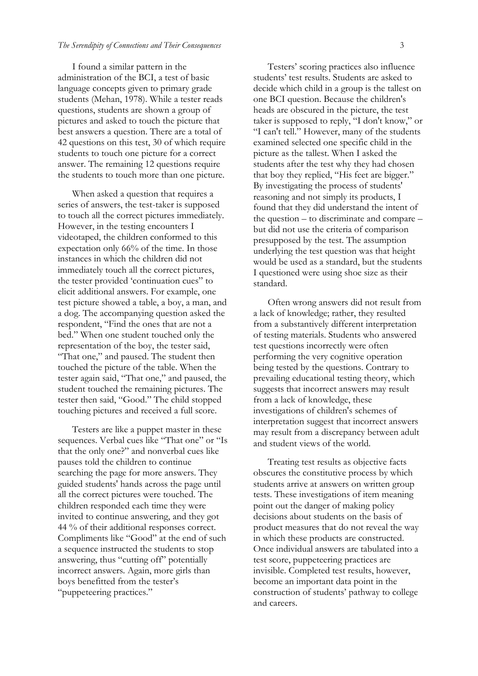#### *The Serendipity of Connections and Their Consequences* 3

I found a similar pattern in the administration of the BCI, a test of basic language concepts given to primary grade students (Mehan, 1978). While a tester reads questions, students are shown a group of pictures and asked to touch the picture that best answers a question. There are a total of 42 questions on this test, 30 of which require students to touch one picture for a correct answer. The remaining 12 questions require the students to touch more than one picture.

When asked a question that requires a series of answers, the test-taker is supposed to touch all the correct pictures immediately. However, in the testing encounters I videotaped, the children conformed to this expectation only 66% of the time. In those instances in which the children did not immediately touch all the correct pictures, the tester provided 'continuation cues" to elicit additional answers. For example, one test picture showed a table, a boy, a man, and a dog. The accompanying question asked the respondent, "Find the ones that are not a bed." When one student touched only the representation of the boy, the tester said, "That one," and paused. The student then touched the picture of the table. When the tester again said, "That one," and paused, the student touched the remaining pictures. The tester then said, "Good." The child stopped touching pictures and received a full score.

Testers are like a puppet master in these sequences. Verbal cues like "That one" or "Is that the only one?" and nonverbal cues like pauses told the children to continue searching the page for more answers. They guided students' hands across the page until all the correct pictures were touched. The children responded each time they were invited to continue answering, and they got 44 % of their additional responses correct. Compliments like "Good" at the end of such a sequence instructed the students to stop answering, thus "cutting off" potentially incorrect answers. Again, more girls than boys benefitted from the tester's "puppeteering practices."

Testers' scoring practices also influence students' test results. Students are asked to decide which child in a group is the tallest on one BCI question. Because the children's heads are obscured in the picture, the test taker is supposed to reply, "I don't know," or "I can't tell." However, many of the students examined selected one specific child in the picture as the tallest. When I asked the students after the test why they had chosen that boy they replied, "His feet are bigger." By investigating the process of students' reasoning and not simply its products, I found that they did understand the intent of the question – to discriminate and compare – but did not use the criteria of comparison presupposed by the test. The assumption underlying the test question was that height would be used as a standard, but the students I questioned were using shoe size as their standard.

Often wrong answers did not result from a lack of knowledge; rather, they resulted from a substantively different interpretation of testing materials. Students who answered test questions incorrectly were often performing the very cognitive operation being tested by the questions. Contrary to prevailing educational testing theory, which suggests that incorrect answers may result from a lack of knowledge, these investigations of children's schemes of interpretation suggest that incorrect answers may result from a discrepancy between adult and student views of the world.

Treating test results as objective facts obscures the constitutive process by which students arrive at answers on written group tests. These investigations of item meaning point out the danger of making policy decisions about students on the basis of product measures that do not reveal the way in which these products are constructed. Once individual answers are tabulated into a test score, puppeteering practices are invisible. Completed test results, however, become an important data point in the construction of students' pathway to college and careers.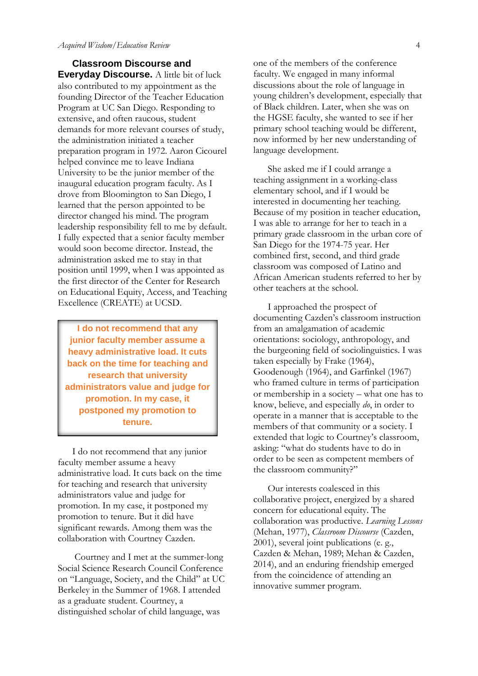**Classroom Discourse and Everyday Discourse.** A little bit of luck also contributed to my appointment as the founding Director of the Teacher Education Program at UC San Diego. Responding to extensive, and often raucous, student demands for more relevant courses of study, the administration initiated a teacher preparation program in 1972. Aaron Cicourel helped convince me to leave Indiana University to be the junior member of the inaugural education program faculty. As I drove from Bloomington to San Diego, I learned that the person appointed to be director changed his mind. The program leadership responsibility fell to me by default. I fully expected that a senior faculty member would soon become director. Instead, the administration asked me to stay in that position until 1999, when I was appointed as the first director of the Center for Research on Educational Equity, Access, and Teaching Excellence (CREATE) at UCSD.

**I do not recommend that any junior faculty member assume a heavy administrative load. It cuts back on the time for teaching and research that university administrators value and judge for promotion. In my case, it postponed my promotion to tenure.**

I do not recommend that any junior faculty member assume a heavy administrative load. It cuts back on the time for teaching and research that university administrators value and judge for promotion. In my case, it postponed my promotion to tenure. But it did have significant rewards. Among them was the collaboration with Courtney Cazden.

Courtney and I met at the summer-long Social Science Research Council Conference on "Language, Society, and the Child" at UC Berkeley in the Summer of 1968. I attended as a graduate student. Courtney, a distinguished scholar of child language, was

one of the members of the conference faculty. We engaged in many informal discussions about the role of language in young children's development, especially that of Black children. Later, when she was on the HGSE faculty, she wanted to see if her primary school teaching would be different, now informed by her new understanding of language development.

She asked me if I could arrange a teaching assignment in a working-class elementary school, and if I would be interested in documenting her teaching. Because of my position in teacher education, I was able to arrange for her to teach in a primary grade classroom in the urban core of San Diego for the 1974-75 year. Her combined first, second, and third grade classroom was composed of Latino and African American students referred to her by other teachers at the school.

I approached the prospect of documenting Cazden's classroom instruction from an amalgamation of academic orientations: sociology, anthropology, and the burgeoning field of sociolinguistics. I was taken especially by Frake (1964), Goodenough (1964), and Garfinkel (1967) who framed culture in terms of participation or membership in a society – what one has to know, believe, and especially *do*, in order to operate in a manner that is acceptable to the members of that community or a society. I extended that logic to Courtney's classroom, asking: "what do students have to do in order to be seen as competent members of the classroom community?"

Our interests coalesced in this collaborative project, energized by a shared concern for educational equity. The collaboration was productive. *Learning Lessons*  (Mehan, 1977), *Classroom Discourse* (Cazden, 2001), several joint publications (e. g., Cazden & Mehan, 1989; Mehan & Cazden, 2014), and an enduring friendship emerged from the coincidence of attending an innovative summer program.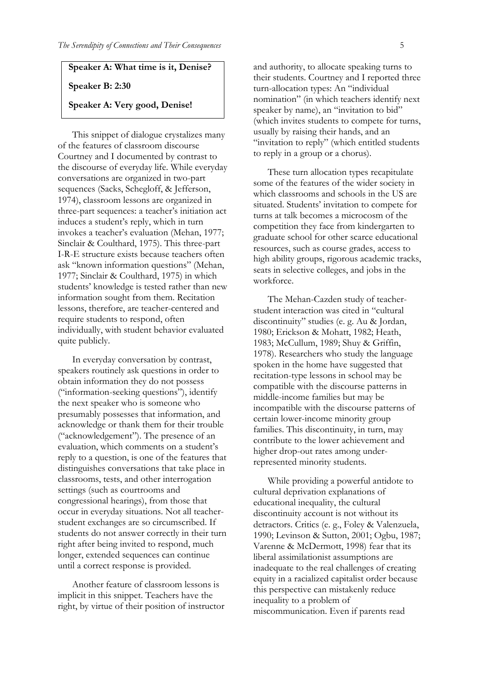### **Speaker A: What time is it, Denise?**

#### **Speaker B: 2:30**

#### **Speaker A: Very good, Denise!**

This snippet of dialogue crystalizes many of the features of classroom discourse Courtney and I documented by contrast to the discourse of everyday life. While everyday conversations are organized in two-part sequences (Sacks, Schegloff, & Jefferson, 1974), classroom lessons are organized in three-part sequences: a teacher's initiation act induces a student's reply, which in turn invokes a teacher's evaluation (Mehan, 1977; Sinclair & Coulthard, 1975). This three-part I-R-E structure exists because teachers often ask "known information questions" (Mehan, 1977; Sinclair & Coulthard, 1975) in which students' knowledge is tested rather than new information sought from them. Recitation lessons, therefore, are teacher-centered and require students to respond, often individually, with student behavior evaluated quite publicly.

In everyday conversation by contrast, speakers routinely ask questions in order to obtain information they do not possess ("information-seeking questions"), identify the next speaker who is someone who presumably possesses that information, and acknowledge or thank them for their trouble ("acknowledgement"). The presence of an evaluation, which comments on a student's reply to a question, is one of the features that distinguishes conversations that take place in classrooms, tests, and other interrogation settings (such as courtrooms and congressional hearings), from those that occur in everyday situations. Not all teacherstudent exchanges are so circumscribed. If students do not answer correctly in their turn right after being invited to respond, much longer, extended sequences can continue until a correct response is provided.

Another feature of classroom lessons is implicit in this snippet. Teachers have the right, by virtue of their position of instructor and authority, to allocate speaking turns to their students. Courtney and I reported three turn-allocation types: An "individual nomination" (in which teachers identify next speaker by name), an "invitation to bid" (which invites students to compete for turns, usually by raising their hands, and an "invitation to reply" (which entitled students to reply in a group or a chorus).

These turn allocation types recapitulate some of the features of the wider society in which classrooms and schools in the US are situated. Students' invitation to compete for turns at talk becomes a microcosm of the competition they face from kindergarten to graduate school for other scarce educational resources, such as course grades, access to high ability groups, rigorous academic tracks, seats in selective colleges, and jobs in the workforce.

The Mehan-Cazden study of teacherstudent interaction was cited in "cultural discontinuity" studies (e. g. Au & Jordan, 1980; Erickson & Mohatt, 1982; Heath, 1983; McCullum, 1989; Shuy & Griffin, 1978). Researchers who study the language spoken in the home have suggested that recitation-type lessons in school may be compatible with the discourse patterns in middle-income families but may be incompatible with the discourse patterns of certain lower-income minority group families. This discontinuity, in turn, may contribute to the lower achievement and higher drop-out rates among underrepresented minority students.

While providing a powerful antidote to cultural deprivation explanations of educational inequality, the cultural discontinuity account is not without its detractors. Critics (e. g., Foley & Valenzuela, 1990; Levinson & Sutton, 2001; Ogbu, 1987; Varenne & McDermott, 1998) fear that its liberal assimilationist assumptions are inadequate to the real challenges of creating equity in a racialized capitalist order because this perspective can mistakenly reduce inequality to a problem of miscommunication. Even if parents read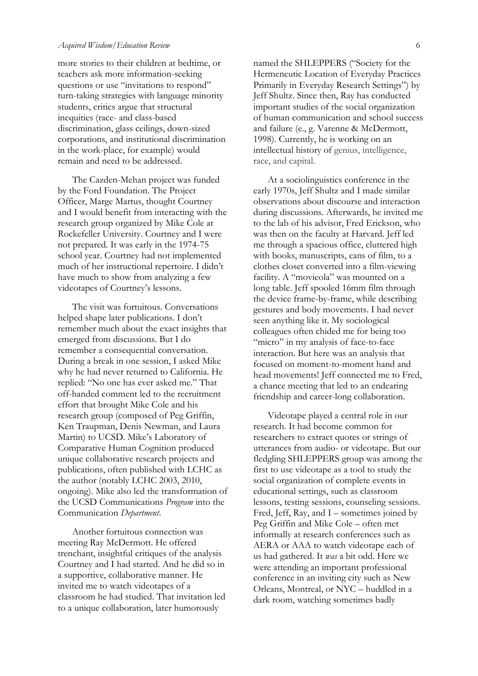more stories to their children at bedtime, or teachers ask more information-seeking questions or use "invitations to respond" turn-taking strategies with language minority students, critics argue that structural inequities (race- and class-based discrimination, glass ceilings, down-sized corporations, and institutional discrimination in the work-place, for example) would remain and need to be addressed.

The Cazden-Mehan project was funded by the Ford Foundation. The Project Officer, Marge Martus, thought Courtney and I would benefit from interacting with the research group organized by Mike Cole at Rockefeller University. Courtney and I were not prepared. It was early in the 1974-75 school year. Courtney had not implemented much of her instructional repertoire. I didn't have much to show from analyzing a few videotapes of Courtney's lessons.

The visit was fortuitous. Conversations helped shape later publications. I don't remember much about the exact insights that emerged from discussions. But I do remember a consequential conversation. During a break in one session, I asked Mike why he had never returned to California. He replied: "No one has ever asked me." That off-handed comment led to the recruitment effort that brought Mike Cole and his research group (composed of Peg Griffin, Ken Traupman, Denis Newman, and Laura Martin) to UCSD. Mike's Laboratory of Comparative Human Cognition produced unique collaborative research projects and publications, often published with LCHC as the author (notably LCHC 2003, 2010, ongoing). Mike also led the transformation of the UCSD Communications *Program* into the Communication *Department*.

Another fortuitous connection was meeting Ray McDermott. He offered trenchant, insightful critiques of the analysis Courtney and I had started. And he did so in a supportive, collaborative manner. He invited me to watch videotapes of a classroom he had studied. That invitation led to a unique collaboration, later humorously

named the SHLEPPERS ("Society for the Hermeneutic Location of Everyday Practices Primarily in Everyday Research Settings") by Jeff Shultz. Since then, Ray has conducted important studies of the social organization of human communication and school success and failure (e., g. Varenne & McDermott, 1998). Currently, he is working on an intellectual history of genius, intelligence, race, and capital.

At a sociolinguistics conference in the early 1970s, Jeff Shultz and I made similar observations about discourse and interaction during discussions. Afterwards, he invited me to the lab of his advisor, Fred Erickson, who was then on the faculty at Harvard. Jeff led me through a spacious office, cluttered high with books, manuscripts, cans of film, to a clothes closet converted into a film-viewing facility. A "movieola" was mounted on a long table. Jeff spooled 16mm film through the device frame-by-frame, while describing gestures and body movements. I had never seen anything like it. My sociological colleagues often chided me for being too "micro" in my analysis of face-to-face interaction. But here was an analysis that focused on moment-to-moment hand and head movements! Jeff connected me to Fred, a chance meeting that led to an endearing friendship and career-long collaboration.

Videotape played a central role in our research. It had become common for researchers to extract quotes or strings of utterances from audio- or videotape. But our fledgling SHLEPPERS group was among the first to use videotape as a tool to study the social organization of complete events in educational settings, such as classroom lessons, testing sessions, counseling sessions. Fred, Jeff, Ray, and I – sometimes joined by Peg Griffin and Mike Cole – often met informally at research conferences such as AERA or AAA to watch videotape each of us had gathered. It *was* a bit odd. Here we were attending an important professional conference in an inviting city such as New Orleans, Montreal, or NYC – huddled in a dark room, watching sometimes badly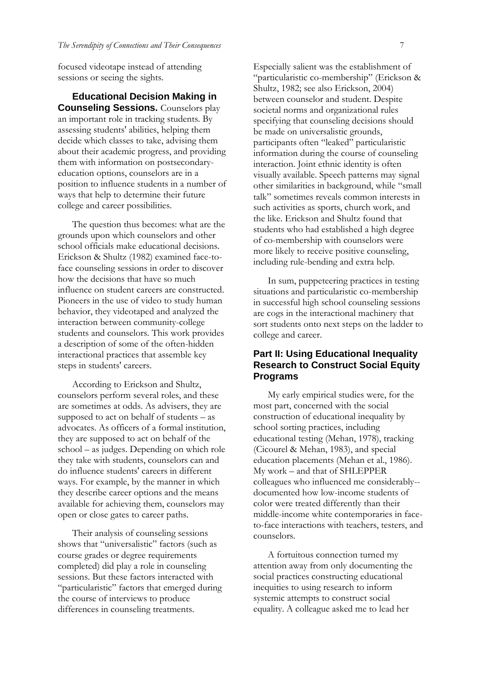focused videotape instead of attending sessions or seeing the sights.

**Educational Decision Making in Counseling Sessions.** Counselors play an important role in tracking students. By assessing students' abilities, helping them decide which classes to take, advising them about their academic progress, and providing them with information on postsecondaryeducation options, counselors are in a position to influence students in a number of ways that help to determine their future college and career possibilities.

The question thus becomes: what are the grounds upon which counselors and other school officials make educational decisions. Erickson & Shultz (1982) examined face-toface counseling sessions in order to discover how the decisions that have so much influence on student careers are constructed. Pioneers in the use of video to study human behavior, they videotaped and analyzed the interaction between community-college students and counselors. This work provides a description of some of the often-hidden interactional practices that assemble key steps in students' careers.

According to Erickson and Shultz, counselors perform several roles, and these are sometimes at odds. As advisers, they are supposed to act on behalf of students – as advocates. As officers of a formal institution, they are supposed to act on behalf of the school – as judges. Depending on which role they take with students, counselors can and do influence students' careers in different ways. For example, by the manner in which they describe career options and the means available for achieving them, counselors may open or close gates to career paths.

Their analysis of counseling sessions shows that "universalistic" factors (such as course grades or degree requirements completed) did play a role in counseling sessions. But these factors interacted with "particularistic" factors that emerged during the course of interviews to produce differences in counseling treatments.

Especially salient was the establishment of "particularistic co-membership" (Erickson & Shultz, 1982; see also Erickson, 2004) between counselor and student. Despite societal norms and organizational rules specifying that counseling decisions should be made on universalistic grounds, participants often "leaked" particularistic information during the course of counseling interaction. Joint ethnic identity is often visually available. Speech patterns may signal other similarities in background, while "small talk" sometimes reveals common interests in such activities as sports, church work, and the like. Erickson and Shultz found that students who had established a high degree of co-membership with counselors were more likely to receive positive counseling, including rule-bending and extra help.

In sum, puppeteering practices in testing situations and particularistic co-membership in successful high school counseling sessions are cogs in the interactional machinery that sort students onto next steps on the ladder to college and career.

## **Part II: Using Educational Inequality Research to Construct Social Equity Programs**

My early empirical studies were, for the most part, concerned with the social construction of educational inequality by school sorting practices, including educational testing (Mehan, 1978), tracking (Cicourel & Mehan, 1983), and special education placements (Mehan et al., 1986). My work – and that of SHLEPPER colleagues who influenced me considerably- documented how low-income students of color were treated differently than their middle-income white contemporaries in faceto-face interactions with teachers, testers, and counselors.

A fortuitous connection turned my attention away from only documenting the social practices constructing educational inequities to using research to inform systemic attempts to construct social equality. A colleague asked me to lead her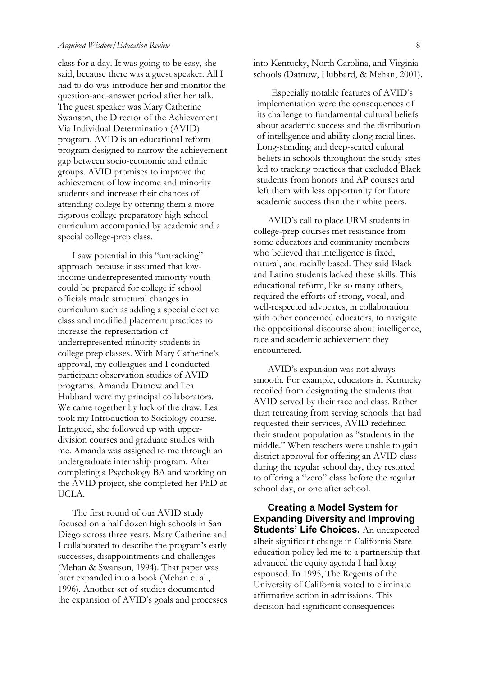class for a day. It was going to be easy, she said, because there was a guest speaker. All I had to do was introduce her and monitor the question-and-answer period after her talk. The guest speaker was Mary Catherine Swanson, the Director of the Achievement Via Individual Determination (AVID) program. AVID is an educational reform program designed to narrow the achievement gap between socio-economic and ethnic groups. AVID promises to improve the achievement of low income and minority students and increase their chances of attending college by offering them a more rigorous college preparatory high school curriculum accompanied by academic and a special college-prep class.

I saw potential in this "untracking" approach because it assumed that lowincome underrepresented minority youth could be prepared for college if school officials made structural changes in curriculum such as adding a special elective class and modified placement practices to increase the representation of underrepresented minority students in college prep classes. With Mary Catherine's approval, my colleagues and I conducted participant observation studies of AVID programs. Amanda Datnow and Lea Hubbard were my principal collaborators. We came together by luck of the draw. Lea took my Introduction to Sociology course. Intrigued, she followed up with upperdivision courses and graduate studies with me. Amanda was assigned to me through an undergraduate internship program. After completing a Psychology BA and working on the AVID project, she completed her PhD at UCLA.

The first round of our AVID study focused on a half dozen high schools in San Diego across three years. Mary Catherine and I collaborated to describe the program's early successes, disappointments and challenges (Mehan & Swanson, 1994). That paper was later expanded into a book (Mehan et al., 1996). Another set of studies documented the expansion of AVID's goals and processes

into Kentucky, North Carolina, and Virginia schools (Datnow, Hubbard, & Mehan, 2001).

Especially notable features of AVID's implementation were the consequences of its challenge to fundamental cultural beliefs about academic success and the distribution of intelligence and ability along racial lines. Long-standing and deep-seated cultural beliefs in schools throughout the study sites led to tracking practices that excluded Black students from honors and AP courses and left them with less opportunity for future academic success than their white peers.

AVID's call to place URM students in college-prep courses met resistance from some educators and community members who believed that intelligence is fixed, natural, and racially based. They said Black and Latino students lacked these skills. This educational reform, like so many others, required the efforts of strong, vocal, and well-respected advocates, in collaboration with other concerned educators, to navigate the oppositional discourse about intelligence, race and academic achievement they encountered.

AVID's expansion was not always smooth. For example, educators in Kentucky recoiled from designating the students that AVID served by their race and class. Rather than retreating from serving schools that had requested their services, AVID redefined their student population as "students in the middle." When teachers were unable to gain district approval for offering an AVID class during the regular school day, they resorted to offering a "zero" class before the regular school day, or one after school.

**Creating a Model System for Expanding Diversity and Improving Students' Life Choices.** An unexpected albeit significant change in California State education policy led me to a partnership that advanced the equity agenda I had long espoused. In 1995, The Regents of the University of California voted to eliminate affirmative action in admissions. This decision had significant consequences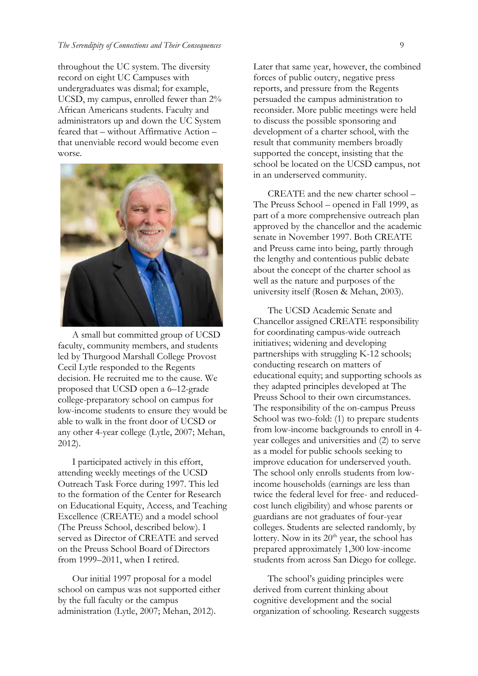#### *The Serendipity of Connections and Their Consequences* 9

throughout the UC system. The diversity record on eight UC Campuses with undergraduates was dismal; for example, UCSD, my campus, enrolled fewer than 2% African Americans students. Faculty and administrators up and down the UC System feared that – without Affirmative Action – that unenviable record would become even worse.



A small but committed group of UCSD faculty, community members, and students led by Thurgood Marshall College Provost Cecil Lytle responded to the Regents decision. He recruited me to the cause. We proposed that UCSD open a 6–12-grade college-preparatory school on campus for low-income students to ensure they would be able to walk in the front door of UCSD or any other 4-year college (Lytle, 2007; Mehan, 2012).

I participated actively in this effort, attending weekly meetings of the UCSD Outreach Task Force during 1997. This led to the formation of the Center for Research on Educational Equity, Access, and Teaching Excellence (CREATE) and a model school (The Preuss School, described below). I served as Director of CREATE and served on the Preuss School Board of Directors from 1999–2011, when I retired.

Our initial 1997 proposal for a model school on campus was not supported either by the full faculty or the campus administration (Lytle, 2007; Mehan, 2012).

Later that same year, however, the combined forces of public outcry, negative press reports, and pressure from the Regents persuaded the campus administration to reconsider. More public meetings were held to discuss the possible sponsoring and development of a charter school, with the result that community members broadly supported the concept, insisting that the school be located on the UCSD campus, not in an underserved community.

CREATE and the new charter school – The Preuss School – opened in Fall 1999, as part of a more comprehensive outreach plan approved by the chancellor and the academic senate in November 1997. Both CREATE and Preuss came into being, partly through the lengthy and contentious public debate about the concept of the charter school as well as the nature and purposes of the university itself (Rosen & Mehan, 2003).

The UCSD Academic Senate and Chancellor assigned CREATE responsibility for coordinating campus-wide outreach initiatives; widening and developing partnerships with struggling K-12 schools; conducting research on matters of educational equity; and supporting schools as they adapted principles developed at The Preuss School to their own circumstances. The responsibility of the on-campus Preuss School was two-fold: (1) to prepare students from low-income backgrounds to enroll in 4 year colleges and universities and (2) to serve as a model for public schools seeking to improve education for underserved youth. The school only enrolls students from lowincome households (earnings are less than twice the federal level for free- and reducedcost lunch eligibility) and whose parents or guardians are not graduates of four-year colleges. Students are selected randomly, by lottery. Now in its  $20<sup>th</sup>$  year, the school has prepared approximately 1,300 low-income students from across San Diego for college.

The school's guiding principles were derived from current thinking about cognitive development and the social organization of schooling. Research suggests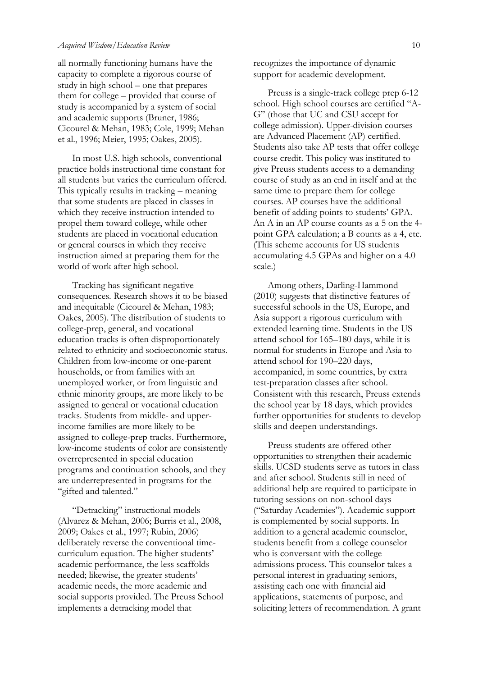all normally functioning humans have the capacity to complete a rigorous course of study in high school – one that prepares them for college – provided that course of study is accompanied by a system of social and academic supports (Bruner, 1986; Cicourel & Mehan, 1983; Cole, 1999; Mehan et al., 1996; Meier, 1995; Oakes, 2005).

In most U.S. high schools, conventional practice holds instructional time constant for all students but varies the curriculum offered. This typically results in tracking – meaning that some students are placed in classes in which they receive instruction intended to propel them toward college, while other students are placed in vocational education or general courses in which they receive instruction aimed at preparing them for the world of work after high school.

Tracking has significant negative consequences. Research shows it to be biased and inequitable (Cicourel & Mehan, 1983; Oakes, 2005). The distribution of students to college-prep, general, and vocational education tracks is often disproportionately related to ethnicity and socioeconomic status. Children from low-income or one-parent households, or from families with an unemployed worker, or from linguistic and ethnic minority groups, are more likely to be assigned to general or vocational education tracks. Students from middle- and upperincome families are more likely to be assigned to college-prep tracks. Furthermore, low-income students of color are consistently overrepresented in special education programs and continuation schools, and they are underrepresented in programs for the "gifted and talented."

"Detracking" instructional models (Alvarez & Mehan, 2006; Burris et al., 2008, 2009; Oakes et al., 1997; Rubin, 2006) deliberately reverse the conventional timecurriculum equation. The higher students' academic performance, the less scaffolds needed; likewise, the greater students' academic needs, the more academic and social supports provided. The Preuss School implements a detracking model that

recognizes the importance of dynamic support for academic development.

Preuss is a single-track college prep 6-12 school. High school courses are certified "A-G" (those that UC and CSU accept for college admission). Upper-division courses are Advanced Placement (AP) certified. Students also take AP tests that offer college course credit. This policy was instituted to give Preuss students access to a demanding course of study as an end in itself and at the same time to prepare them for college courses. AP courses have the additional benefit of adding points to students' GPA. An A in an AP course counts as a 5 on the 4 point GPA calculation; a B counts as a 4, etc. (This scheme accounts for US students accumulating 4.5 GPAs and higher on a 4.0 scale.)

Among others, Darling-Hammond (2010) suggests that distinctive features of successful schools in the US, Europe, and Asia support a rigorous curriculum with extended learning time. Students in the US attend school for 165–180 days, while it is normal for students in Europe and Asia to attend school for 190–220 days, accompanied, in some countries, by extra test-preparation classes after school. Consistent with this research, Preuss extends the school year by 18 days, which provides further opportunities for students to develop skills and deepen understandings.

Preuss students are offered other opportunities to strengthen their academic skills. UCSD students serve as tutors in class and after school. Students still in need of additional help are required to participate in tutoring sessions on non-school days ("Saturday Academies"). Academic support is complemented by social supports. In addition to a general academic counselor, students benefit from a college counselor who is conversant with the college admissions process. This counselor takes a personal interest in graduating seniors, assisting each one with financial aid applications, statements of purpose, and soliciting letters of recommendation. A grant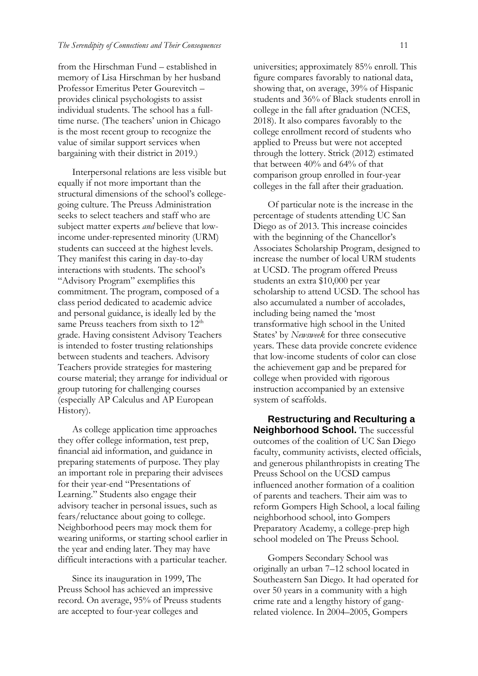from the Hirschman Fund – established in memory of Lisa Hirschman by her husband Professor Emeritus Peter Gourevitch – provides clinical psychologists to assist individual students. The school has a fulltime nurse. (The teachers' union in Chicago is the most recent group to recognize the value of similar support services when bargaining with their district in 2019.)

Interpersonal relations are less visible but equally if not more important than the structural dimensions of the school's collegegoing culture. The Preuss Administration seeks to select teachers and staff who are subject matter experts *and* believe that lowincome under-represented minority (URM) students can succeed at the highest levels. They manifest this caring in day-to-day interactions with students. The school's "Advisory Program" exemplifies this commitment. The program, composed of a class period dedicated to academic advice and personal guidance, is ideally led by the same Preuss teachers from sixth to  $12<sup>th</sup>$ grade. Having consistent Advisory Teachers is intended to foster trusting relationships between students and teachers. Advisory Teachers provide strategies for mastering course material; they arrange for individual or group tutoring for challenging courses (especially AP Calculus and AP European History).

As college application time approaches they offer college information, test prep, financial aid information, and guidance in preparing statements of purpose. They play an important role in preparing their advisees for their year-end "Presentations of Learning." Students also engage their advisory teacher in personal issues, such as fears/reluctance about going to college. Neighborhood peers may mock them for wearing uniforms, or starting school earlier in the year and ending later. They may have difficult interactions with a particular teacher.

Since its inauguration in 1999, The Preuss School has achieved an impressive record. On average, 95% of Preuss students are accepted to four-year colleges and

universities; approximately 85% enroll. This figure compares favorably to national data, showing that, on average, 39% of Hispanic students and 36% of Black students enroll in college in the fall after graduation (NCES, 2018). It also compares favorably to the college enrollment record of students who applied to Preuss but were not accepted through the lottery. Strick (2012) estimated that between 40% and 64% of that comparison group enrolled in four-year colleges in the fall after their graduation.

Of particular note is the increase in the percentage of students attending UC San Diego as of 2013. This increase coincides with the beginning of the Chancellor's Associates Scholarship Program, designed to increase the number of local URM students at UCSD. The program offered Preuss students an extra \$10,000 per year scholarship to attend UCSD. The school has also accumulated a number of accolades, including being named the 'most transformative high school in the United States' by *Newsweek* for three consecutive years. These data provide concrete evidence that low-income students of color can close the achievement gap and be prepared for college when provided with rigorous instruction accompanied by an extensive system of scaffolds.

**Restructuring and Reculturing a Neighborhood School.** The successful outcomes of the coalition of UC San Diego faculty, community activists, elected officials, and generous philanthropists in creating The Preuss School on the UCSD campus influenced another formation of a coalition of parents and teachers. Their aim was to reform Gompers High School, a local failing neighborhood school, into Gompers Preparatory Academy, a college-prep high school modeled on The Preuss School.

Gompers Secondary School was originally an urban 7–12 school located in Southeastern San Diego. It had operated for over 50 years in a community with a high crime rate and a lengthy history of gangrelated violence. In 2004–2005, Gompers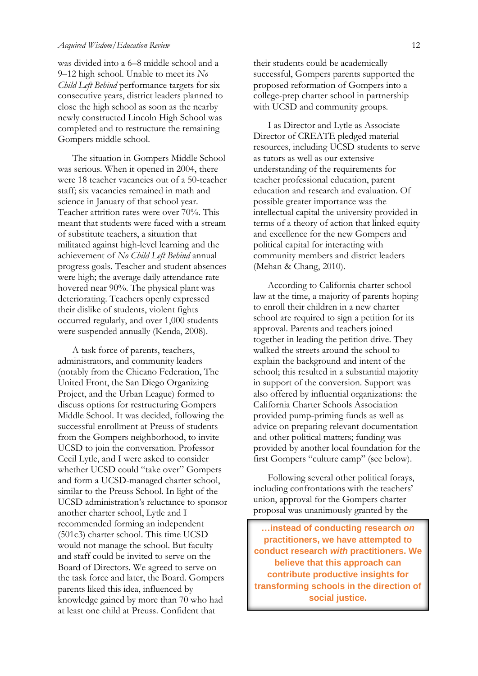was divided into a 6–8 middle school and a 9–12 high school. Unable to meet its *No Child Left Behind* performance targets for six consecutive years, district leaders planned to close the high school as soon as the nearby newly constructed Lincoln High School was completed and to restructure the remaining Gompers middle school.

The situation in Gompers Middle School was serious. When it opened in 2004, there were 18 teacher vacancies out of a 50-teacher staff; six vacancies remained in math and science in January of that school year. Teacher attrition rates were over 70%. This meant that students were faced with a stream of substitute teachers, a situation that militated against high-level learning and the achievement of *No Child Left Behind* annual progress goals. Teacher and student absences were high; the average daily attendance rate hovered near 90%. The physical plant was deteriorating. Teachers openly expressed their dislike of students, violent fights occurred regularly, and over 1,000 students were suspended annually (Kenda, 2008).

A task force of parents, teachers, administrators, and community leaders (notably from the Chicano Federation, The United Front, the San Diego Organizing Project, and the Urban League) formed to discuss options for restructuring Gompers Middle School. It was decided, following the successful enrollment at Preuss of students from the Gompers neighborhood, to invite UCSD to join the conversation. Professor Cecil Lytle, and I were asked to consider whether UCSD could "take over" Gompers and form a UCSD-managed charter school, similar to the Preuss School. In light of the UCSD administration's reluctance to sponsor another charter school, Lytle and I recommended forming an independent (501c3) charter school. This time UCSD would not manage the school. But faculty and staff could be invited to serve on the Board of Directors. We agreed to serve on the task force and later, the Board. Gompers parents liked this idea, influenced by knowledge gained by more than 70 who had at least one child at Preuss. Confident that

their students could be academically successful, Gompers parents supported the proposed reformation of Gompers into a college-prep charter school in partnership with UCSD and community groups.

I as Director and Lytle as Associate Director of CREATE pledged material resources, including UCSD students to serve as tutors as well as our extensive understanding of the requirements for teacher professional education, parent education and research and evaluation. Of possible greater importance was the intellectual capital the university provided in terms of a theory of action that linked equity and excellence for the new Gompers and political capital for interacting with community members and district leaders (Mehan & Chang, 2010).

According to California charter school law at the time, a majority of parents hoping to enroll their children in a new charter school are required to sign a petition for its approval. Parents and teachers joined together in leading the petition drive. They walked the streets around the school to explain the background and intent of the school; this resulted in a substantial majority in support of the conversion. Support was also offered by influential organizations: the California Charter Schools Association provided pump-priming funds as well as advice on preparing relevant documentation and other political matters; funding was provided by another local foundation for the first Gompers "culture camp" (see below).

Following several other political forays, including confrontations with the teachers' union, approval for the Gompers charter proposal was unanimously granted by the

**…instead of conducting research** *on* **practitioners, we have attempted to conduct research** *with* **practitioners. We believe that this approach can contribute productive insights for transforming schools in the direction of social justice.**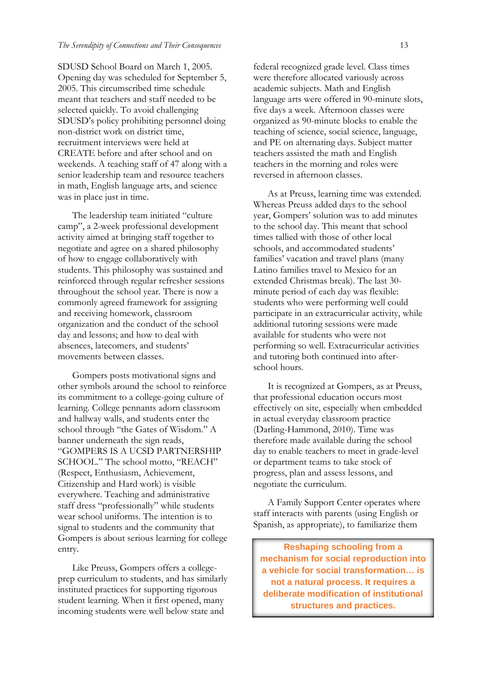SDUSD School Board on March 1, 2005. Opening day was scheduled for September 5, 2005. This circumscribed time schedule meant that teachers and staff needed to be selected quickly. To avoid challenging SDUSD's policy prohibiting personnel doing non-district work on district time, recruitment interviews were held at CREATE before and after school and on weekends. A teaching staff of 47 along with a senior leadership team and resource teachers in math, English language arts, and science was in place just in time.

The leadership team initiated "culture camp", a 2-week professional development activity aimed at bringing staff together to negotiate and agree on a shared philosophy of how to engage collaboratively with students. This philosophy was sustained and reinforced through regular refresher sessions throughout the school year. There is now a commonly agreed framework for assigning and receiving homework, classroom organization and the conduct of the school day and lessons; and how to deal with absences, latecomers, and students' movements between classes.

Gompers posts motivational signs and other symbols around the school to reinforce its commitment to a college-going culture of learning. College pennants adorn classroom and hallway walls, and students enter the school through "the Gates of Wisdom." A banner underneath the sign reads, "GOMPERS IS A UCSD PARTNERSHIP SCHOOL." The school motto, "REACH" (Respect, Enthusiasm, Achievement, Citizenship and Hard work) is visible everywhere. Teaching and administrative staff dress "professionally" while students wear school uniforms. The intention is to signal to students and the community that Gompers is about serious learning for college entry.

Like Preuss, Gompers offers a collegeprep curriculum to students, and has similarly instituted practices for supporting rigorous student learning. When it first opened, many incoming students were well below state and

federal recognized grade level. Class times were therefore allocated variously across academic subjects. Math and English language arts were offered in 90-minute slots, five days a week. Afternoon classes were organized as 90-minute blocks to enable the teaching of science, social science, language, and PE on alternating days. Subject matter teachers assisted the math and English teachers in the morning and roles were reversed in afternoon classes.

As at Preuss, learning time was extended. Whereas Preuss added days to the school year, Gompers' solution was to add minutes to the school day. This meant that school times tallied with those of other local schools, and accommodated students' families' vacation and travel plans (many Latino families travel to Mexico for an extended Christmas break). The last 30 minute period of each day was flexible: students who were performing well could participate in an extracurricular activity, while additional tutoring sessions were made available for students who were not performing so well. Extracurricular activities and tutoring both continued into afterschool hours.

It is recognized at Gompers, as at Preuss, that professional education occurs most effectively on site, especially when embedded in actual everyday classroom practice (Darling-Hammond, 2010). Time was therefore made available during the school day to enable teachers to meet in grade-level or department teams to take stock of progress, plan and assess lessons, and negotiate the curriculum.

A Family Support Center operates where staff interacts with parents (using English or Spanish, as appropriate), to familiarize them

**Reshaping schooling from a mechanism for social reproduction into a vehicle for social transformation… is not a natural process. It requires a deliberate modification of institutional structures and practices.**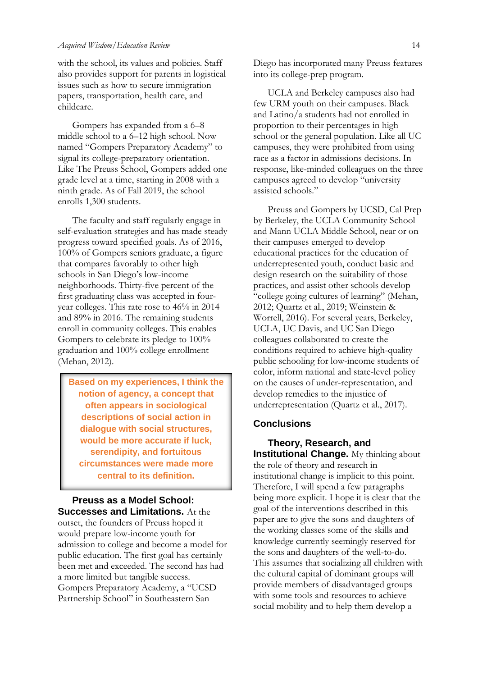with the school, its values and policies. Staff also provides support for parents in logistical issues such as how to secure immigration papers, transportation, health care, and childcare.

Gompers has expanded from a 6–8 middle school to a 6–12 high school. Now named "Gompers Preparatory Academy" to signal its college-preparatory orientation. Like The Preuss School, Gompers added one grade level at a time, starting in 2008 with a ninth grade. As of Fall 2019, the school enrolls 1,300 students.

The faculty and staff regularly engage in self-evaluation strategies and has made steady progress toward specified goals. As of 2016, 100% of Gompers seniors graduate, a figure that compares favorably to other high schools in San Diego's low-income neighborhoods. Thirty-five percent of the first graduating class was accepted in fouryear colleges. This rate rose to 46% in 2014 and 89% in 2016. The remaining students enroll in community colleges. This enables Gompers to celebrate its pledge to 100% graduation and 100% college enrollment (Mehan, 2012).

**Based on my experiences, I think the notion of agency, a concept that often appears in sociological descriptions of social action in dialogue with social structures, would be more accurate if luck, serendipity, and fortuitous circumstances were made more central to its definition.**

**Preuss as a Model School: Successes and Limitations.** At the outset, the founders of Preuss hoped it would prepare low-income youth for admission to college and become a model for public education. The first goal has certainly been met and exceeded. The second has had a more limited but tangible success. Gompers Preparatory Academy, a "UCSD Partnership School" in Southeastern San

Diego has incorporated many Preuss features into its college-prep program.

UCLA and Berkeley campuses also had few URM youth on their campuses. Black and Latino/a students had not enrolled in proportion to their percentages in high school or the general population. Like all UC campuses, they were prohibited from using race as a factor in admissions decisions. In response, like-minded colleagues on the three campuses agreed to develop "university assisted schools."

Preuss and Gompers by UCSD, Cal Prep by Berkeley, the UCLA Community School and Mann UCLA Middle School, near or on their campuses emerged to develop educational practices for the education of underrepresented youth, conduct basic and design research on the suitability of those practices, and assist other schools develop "college going cultures of learning" (Mehan, 2012; Quartz et al., 2019; Weinstein & Worrell, 2016). For several years, Berkeley, UCLA, UC Davis, and UC San Diego colleagues collaborated to create the conditions required to achieve high-quality public schooling for low-income students of color, inform national and state-level policy on the causes of under-representation, and develop remedies to the injustice of underrepresentation (Quartz et al., 2017).

#### **Conclusions**

**Theory, Research, and Institutional Change.** My thinking about the role of theory and research in institutional change is implicit to this point. Therefore, I will spend a few paragraphs being more explicit. I hope it is clear that the goal of the interventions described in this paper are to give the sons and daughters of the working classes some of the skills and knowledge currently seemingly reserved for the sons and daughters of the well-to-do. This assumes that socializing all children with the cultural capital of dominant groups will provide members of disadvantaged groups with some tools and resources to achieve social mobility and to help them develop a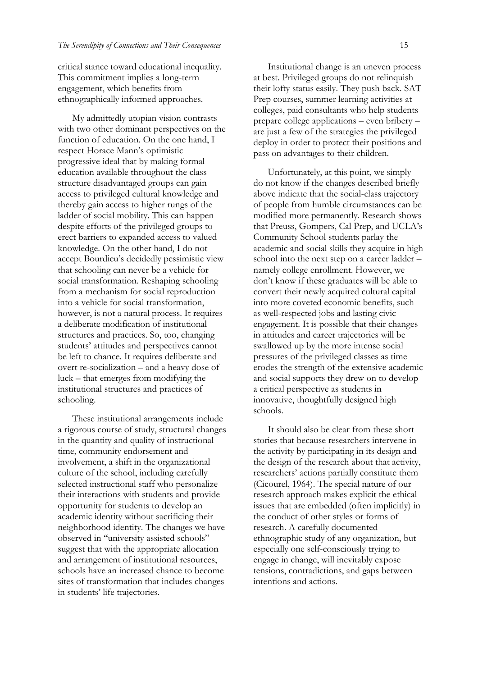critical stance toward educational inequality. This commitment implies a long-term engagement, which benefits from ethnographically informed approaches.

My admittedly utopian vision contrasts with two other dominant perspectives on the function of education. On the one hand, I respect Horace Mann's optimistic progressive ideal that by making formal education available throughout the class structure disadvantaged groups can gain access to privileged cultural knowledge and thereby gain access to higher rungs of the ladder of social mobility. This can happen despite efforts of the privileged groups to erect barriers to expanded access to valued knowledge. On the other hand, I do not accept Bourdieu's decidedly pessimistic view that schooling can never be a vehicle for social transformation. Reshaping schooling from a mechanism for social reproduction into a vehicle for social transformation, however, is not a natural process. It requires a deliberate modification of institutional structures and practices. So, too, changing students' attitudes and perspectives cannot be left to chance. It requires deliberate and overt re-socialization – and a heavy dose of luck – that emerges from modifying the institutional structures and practices of schooling.

These institutional arrangements include a rigorous course of study, structural changes in the quantity and quality of instructional time, community endorsement and involvement, a shift in the organizational culture of the school, including carefully selected instructional staff who personalize their interactions with students and provide opportunity for students to develop an academic identity without sacrificing their neighborhood identity. The changes we have observed in "university assisted schools" suggest that with the appropriate allocation and arrangement of institutional resources, schools have an increased chance to become sites of transformation that includes changes in students' life trajectories.

Institutional change is an uneven process at best. Privileged groups do not relinquish their lofty status easily. They push back. SAT Prep courses, summer learning activities at colleges, paid consultants who help students prepare college applications – even bribery – are just a few of the strategies the privileged deploy in order to protect their positions and pass on advantages to their children.

Unfortunately, at this point, we simply do not know if the changes described briefly above indicate that the social-class trajectory of people from humble circumstances can be modified more permanently. Research shows that Preuss, Gompers, Cal Prep, and UCLA's Community School students parlay the academic and social skills they acquire in high school into the next step on a career ladder – namely college enrollment. However, we don't know if these graduates will be able to convert their newly acquired cultural capital into more coveted economic benefits, such as well-respected jobs and lasting civic engagement. It is possible that their changes in attitudes and career trajectories will be swallowed up by the more intense social pressures of the privileged classes as time erodes the strength of the extensive academic and social supports they drew on to develop a critical perspective as students in innovative, thoughtfully designed high schools.

It should also be clear from these short stories that because researchers intervene in the activity by participating in its design and the design of the research about that activity, researchers' actions partially constitute them (Cicourel, 1964). The special nature of our research approach makes explicit the ethical issues that are embedded (often implicitly) in the conduct of other styles or forms of research. A carefully documented ethnographic study of any organization, but especially one self-consciously trying to engage in change, will inevitably expose tensions, contradictions, and gaps between intentions and actions.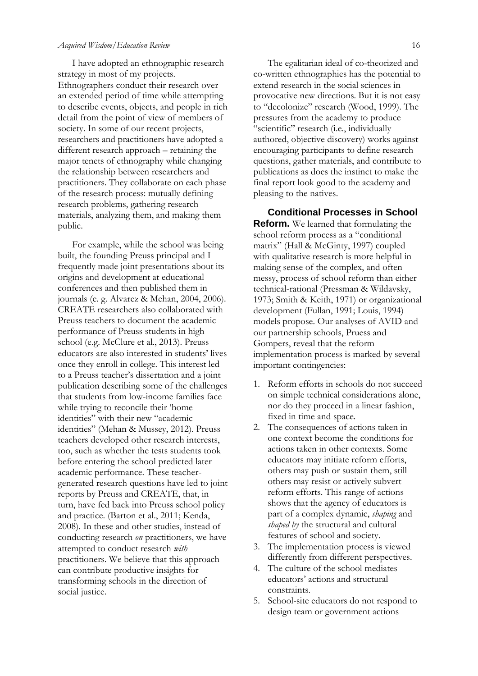I have adopted an ethnographic research strategy in most of my projects. Ethnographers conduct their research over an extended period of time while attempting to describe events, objects, and people in rich detail from the point of view of members of society. In some of our recent projects, researchers and practitioners have adopted a different research approach – retaining the major tenets of ethnography while changing the relationship between researchers and practitioners. They collaborate on each phase of the research process: mutually defining research problems, gathering research materials, analyzing them, and making them public.

For example, while the school was being built, the founding Preuss principal and I frequently made joint presentations about its origins and development at educational conferences and then published them in journals (e. g. Alvarez & Mehan, 2004, 2006). CREATE researchers also collaborated with Preuss teachers to document the academic performance of Preuss students in high school (e.g. McClure et al., 2013). Preuss educators are also interested in students' lives once they enroll in college. This interest led to a Preuss teacher's dissertation and a joint publication describing some of the challenges that students from low-income families face while trying to reconcile their 'home identities" with their new "academic identities" (Mehan & Mussey, 2012). Preuss teachers developed other research interests, too, such as whether the tests students took before entering the school predicted later academic performance. These teachergenerated research questions have led to joint reports by Preuss and CREATE, that, in turn, have fed back into Preuss school policy and practice. (Barton et al., 2011; Kenda, 2008). In these and other studies, instead of conducting research *on* practitioners, we have attempted to conduct research *with*  practitioners. We believe that this approach can contribute productive insights for transforming schools in the direction of social justice.

The egalitarian ideal of co-theorized and co-written ethnographies has the potential to extend research in the social sciences in provocative new directions. But it is not easy to "decolonize" research (Wood, 1999). The pressures from the academy to produce "scientific" research (i.e., individually authored, objective discovery) works against encouraging participants to define research questions, gather materials, and contribute to publications as does the instinct to make the final report look good to the academy and pleasing to the natives.

**Conditional Processes in School Reform.** We learned that formulating the school reform process as a "conditional matrix" (Hall & McGinty, 1997) coupled with qualitative research is more helpful in making sense of the complex, and often messy, process of school reform than either technical-rational (Pressman & Wildavsky, 1973; Smith & Keith, 1971) or organizational development (Fullan, 1991; Louis, 1994) models propose. Our analyses of AVID and our partnership schools, Pruess and Gompers, reveal that the reform implementation process is marked by several important contingencies:

- 1. Reform efforts in schools do not succeed on simple technical considerations alone, nor do they proceed in a linear fashion, fixed in time and space.
- 2. The consequences of actions taken in one context become the conditions for actions taken in other contexts. Some educators may initiate reform efforts, others may push or sustain them, still others may resist or actively subvert reform efforts. This range of actions shows that the agency of educators is part of a complex dynamic, *shaping* and *shaped by* the structural and cultural features of school and society.
- 3. The implementation process is viewed differently from different perspectives.
- 4. The culture of the school mediates educators' actions and structural constraints.
- 5. School-site educators do not respond to design team or government actions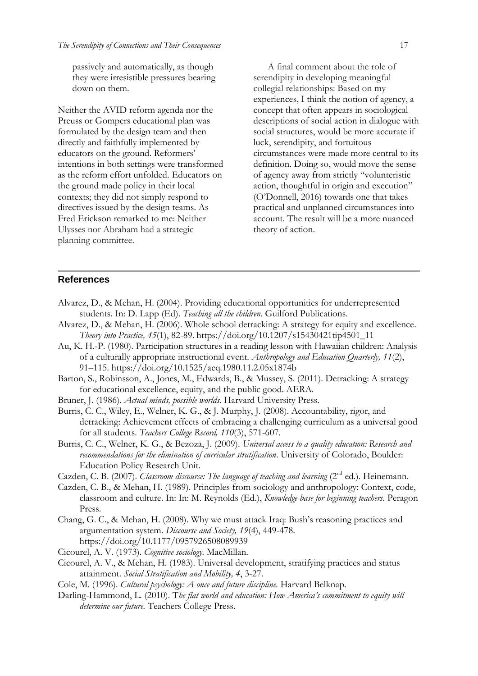passively and automatically, as though they were irresistible pressures bearing down on them.

Neither the AVID reform agenda nor the Preuss or Gompers educational plan was formulated by the design team and then directly and faithfully implemented by educators on the ground. Reformers' intentions in both settings were transformed as the reform effort unfolded. Educators on the ground made policy in their local contexts; they did not simply respond to directives issued by the design teams. As Fred Erickson remarked to me: Neither Ulysses nor Abraham had a strategic planning committee.

A final comment about the role of serendipity in developing meaningful collegial relationships: Based on my experiences, I think the notion of agency, a concept that often appears in sociological descriptions of social action in dialogue with social structures, would be more accurate if luck, serendipity, and fortuitous circumstances were made more central to its definition. Doing so, would move the sense of agency away from strictly "volunteristic action, thoughtful in origin and execution" (O'Donnell, 2016) towards one that takes practical and unplanned circumstances into account. The result will be a more nuanced theory of action.

### **References**

- Alvarez, D., & Mehan, H. (2004). Providing educational opportunities for underrepresented students. In: D. Lapp (Ed). *Teaching all the children*. Guilford Publications.
- Alvarez, D., & Mehan, H. (2006). Whole school detracking: A strategy for equity and excellence*. Theory into Practice, 45*(1), 82-89. https://doi.org/10.1207/s15430421tip4501\_11
- Au, K. H.-P. (1980). Participation structures in a reading lesson with Hawaiian children: Analysis of a culturally appropriate instructional event. *Anthropology and Education Quarterly, 11*(2), 91–115. https://doi.org/10.1525/aeq.1980.11.2.05x1874b
- Barton, S., Robinsson, A., Jones, M., Edwards, B., & Mussey, S. (2011). Detracking: A strategy for educational excellence, equity, and the public good. AERA.
- Bruner, J. (1986). *Actual minds, possible worlds.* Harvard University Press.
- Burris, C. C., Wiley, E., Welner, K. G., & J. Murphy, J. (2008). Accountability, rigor, and detracking: Achievement effects of embracing a challenging curriculum as a universal good for all students. *Teachers College Record, 110*(3), 571-607.
- Burris, C. C., Welner, K. G., & Bezoza, J. (2009). *Universal access to a quality education: Research and recommendations for the elimination of curricular stratification*. University of Colorado, Boulder: Education Policy Research Unit.
- Cazden, C. B. (2007). *Classroom discourse: The language of teaching and learning* (2<sup>nd</sup> ed.). Heinemann.
- Cazden, C. B., & Mehan, H. (1989). Principles from sociology and anthropology: Context, code, classroom and culture. In: In: M. Reynolds (Ed.), *Knowledge base for beginning teachers.* Peragon Press.
- Chang, G. C., & Mehan, H. (2008). Why we must attack Iraq: Bush's reasoning practices and argumentation system. *Discourse and Society, 19*(4), 449-478. https://doi.org/10.1177/0957926508089939
- Cicourel, A. V. (1973). *Cognitive sociology.* MacMillan.
- Cicourel, A. V., & Mehan, H. (1983). Universal development, stratifying practices and status attainment. *Social Stratification and Mobility, 4*, 3-27.
- Cole, M. (1996). *Cultural psychology: A once and future discipline.* Harvard Belknap.
- Darling-Hammond, L. (2010). T*he flat world and education: How America's commitment to equity will determine our future.* Teachers College Press.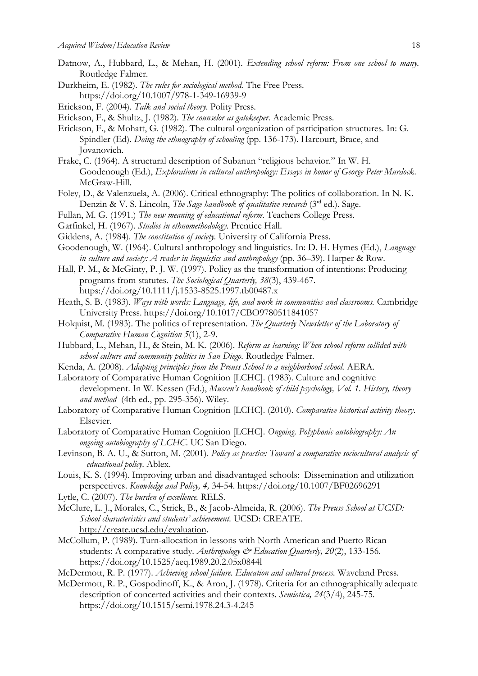- Datnow, A., Hubbard, L., & Mehan, H. (2001)*. Extending school reform: From one school to many.*  Routledge Falmer.
- Durkheim, E. (1982). *The rules for sociological method.* The Free Press. https://doi.org/10.1007/978-1-349-16939-9
- Erickson, F. (2004). *Talk and social theory*. Polity Press.
- Erickson, F., & Shultz, J. (1982). *The counselor as gatekeeper.* Academic Press.
- Erickson, F., & Mohatt, G. (1982). The cultural organization of participation structures. In: G. Spindler (Ed). *Doing the ethnography of schooling* (pp. 136-173). Harcourt, Brace, and Jovanovich.
- Frake, C. (1964). A structural description of Subanun "religious behavior." In W. H. Goodenough (Ed.), *Explorations in cultural anthropology: Essays in honor of George Peter Murdock*. McGraw-Hill.
- Foley, D., & Valenzuela, A. (2006). Critical ethnography: The politics of collaboration. In N. K. Denzin & V. S. Lincoln, *The Sage handbook of qualitative research* (3rd ed.). Sage.
- Fullan, M. G. (1991.) *The new meaning of educational reform*. Teachers College Press.
- Garfinkel, H. (1967). *Studies in ethnomethodology*. Prentice Hall.
- Giddens, A. (1984). *The constitution of society.* University of California Press.
- Goodenough, W. (1964). Cultural anthropology and linguistics. In: D. H. Hymes (Ed.), *Language in culture and society: A reader in linguistics and anthropology* (pp. 36–39). Harper & Row.
- Hall, P. M., & McGinty, P. J. W. (1997). Policy as the transformation of intentions: Producing programs from statutes. *The Sociological Quarterly, 38*(3), 439-467.
	- https://doi.org/10.1111/j.1533-8525.1997.tb00487.x
- Heath, S. B. (1983). *Ways with words: Language, life, and work in communities and classrooms.* Cambridge University Press. https://doi.org/10.1017/CBO9780511841057
- Holquist, M. (1983). The politics of representation. *The Quarterly Newsletter of the Laboratory of Comparative Human Cognition 5*(1), 2-9.
- Hubbard, L., Mehan, H., & Stein, M. K. (2006). *Reform as learning: When school reform collided with school culture and community politics in San Diego.* Routledge Falmer.
- Kenda, A. (2008). *Adapting principles from the Preuss School to a neighborhood school.* AERA.
- Laboratory of Comparative Human Cognition [LCHC]. (1983). Culture and cognitive development. In W. Kessen (Ed.), *Mussen's handbook of child psychology, Vol. 1. History, theory and method* (4th ed., pp. 295-356). Wiley.
- Laboratory of Comparative Human Cognition [LCHC]. (2010). *Comparative historical activity theory*. Elsevier.
- Laboratory of Comparative Human Cognition [LCHC]. *Ongoing. Polyphonic autobiography: An ongoing autobiography of LCHC*. UC San Diego.
- Levinson, B. A. U., & Sutton, M. (2001). *Policy as practice: Toward a comparative sociocultural analysis of educational policy*. Ablex.
- Louis, K. S. (1994). Improving urban and disadvantaged schools: Dissemination and utilization perspectives. *Knowledge and Policy, 4,* 34-54. https://doi.org/10.1007/BF02696291
- Lytle, C. (2007). *The burden of excellence.* RELS.
- McClure, L. J., Morales, C., Strick, B., & Jacob-Almeida, R. (2006). *The Preuss School at UCSD: School characteristics and students' achievement.* UCSD: CREATE. [http://create.ucsd.edu/evaluation.](http://create.ucsd.edu/evaluation)
- McCollum, P. (1989). Turn-allocation in lessons with North American and Puerto Rican students: A comparative study. Anthropology & Education Quarterly, 20(2), 133-156. https://doi.org/10.1525/aeq.1989.20.2.05x0844l
- McDermott, R. P. (1977). *Achieving school failure. Education and cultural process.* Waveland Press.
- McDermott, R. P., Gospodinoff, K., & Aron, J. (1978). Criteria for an ethnographically adequate description of concerted activities and their contexts. *Semiotica, 24*(3/4), 245-75. https://doi.org/10.1515/semi.1978.24.3-4.245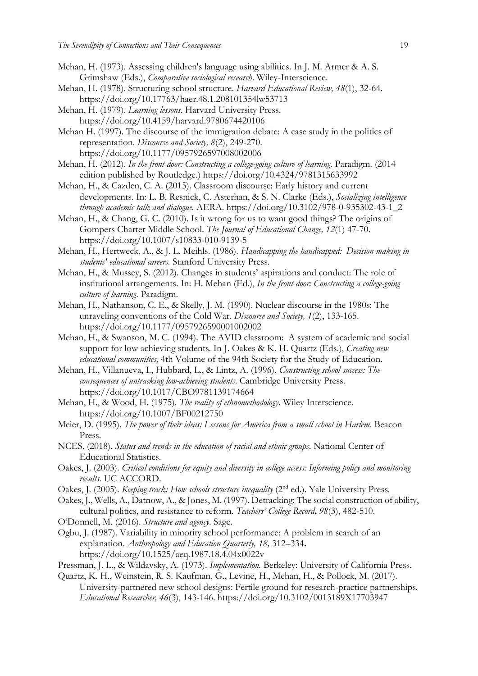- Mehan, H. (1973). Assessing children's language using abilities. In J. M. Armer & A. S. Grimshaw (Eds.), *Comparative sociological research*. Wiley-Interscience.
- Mehan, H. (1978). Structuring school structure. *Harvard Educational Review, 48*(1), 32-64. https://doi.org/10.17763/haer.48.1.208101354lw53713
- Mehan, H. (1979). *Learning lessons*. Harvard University Press. https://doi.org/10.4159/harvard.9780674420106
- Mehan H. (1997). The discourse of the immigration debate: A case study in the politics of representation. *Discourse and Society, 8*(2), 249-270. https://doi.org/10.1177/0957926597008002006
- Mehan, H. (2012). *In the front door: Constructing a college-going culture of learning*. Paradigm. (2014 edition published by Routledge.) https://doi.org/10.4324/9781315633992
- Mehan, H., & Cazden, C. A. (2015). Classroom discourse: Early history and current developments. In: L. B. Resnick, C. Asterhan, & S. N. Clarke (Eds.), *Socializing intelligence through academic talk and dialogue.* AERA. https://doi.org/10.3102/978-0-935302-43-1\_2
- Mehan, H., & Chang, G. C. (2010). Is it wrong for us to want good things? The origins of Gompers Charter Middle School. *The Journal of Educational Change, 12*(1) 47-70. https://doi.org/10.1007/s10833-010-9139-5
- Mehan, H., Hertweck, A., & J. L. Meihls. (1986). *Handicapping the handicapped: Decision making in students' educational careers.* Stanford University Press.
- Mehan, H., & Mussey, S. (2012). Changes in students' aspirations and conduct: The role of institutional arrangements. In: H. Mehan (Ed.), *In the front door: Constructing a college-going culture of learning*. Paradigm.
- Mehan, H., Nathanson, C. E., & Skelly, J. M. (1990). Nuclear discourse in the 1980s: The unraveling conventions of the Cold War. *Discourse and Society, 1*(2), 133-165. https://doi.org/10.1177/0957926590001002002
- Mehan, H., & Swanson, M. C. (1994). The AVID classroom: A system of academic and social support for low achieving students. In J. Oakes & K. H. Quartz (Eds.), *Creating new educational communities*, 4th Volume of the 94th Society for the Study of Education.
- Mehan, H., Villanueva, I., Hubbard, L., & Lintz, A. (1996). *Constructing school success: The consequences of untracking low-achieving students*. Cambridge University Press. https://doi.org/10.1017/CBO9781139174664
- Mehan, H., & Wood, H. (1975). *The reality of ethnomethodology.* Wiley Interscience. https://doi.org/10.1007/BF00212750
- Meier, D. (1995). *The power of their ideas: Lessons for America from a small school in Harlem*. Beacon Press.
- NCES. (2018). *Status and trends in the education of racial and ethnic groups*. National Center of Educational Statistics.
- Oakes, J. (2003). *Critical conditions for equity and diversity in college access: Informing policy and monitoring results*. UC ACCORD.
- Oakes, J. (2005). *Keeping track: How schools structure inequality* (2<sup>nd</sup> ed.). Yale University Press.
- Oakes, J., Wells, A., Datnow, A., & Jones, M. (1997). Detracking: The social construction of ability, cultural politics, and resistance to reform. *Teachers' College Record, 98*(3), 482-510.
- O'Donnell, M. (2016). *Structure and agency*. Sage.
- Ogbu, J. (1987). Variability in minority school performance: A problem in search of an explanation. *Anthropology and Education Quarterly, 18,* 312–334**.** https://doi.org/10.1525/aeq.1987.18.4.04x0022v
- Pressman, J. L., & Wildavsky, A. (1973). *Implementation.* Berkeley: University of California Press.
- Quartz, K. H., Weinstein, R. S. Kaufman, G., Levine, H., Mehan, H., & Pollock, M. (2017). University-partnered new school designs: Fertile ground for research-practice partnerships*. Educational Researcher, 46*(3), 143-146. https://doi.org/10.3102/0013189X17703947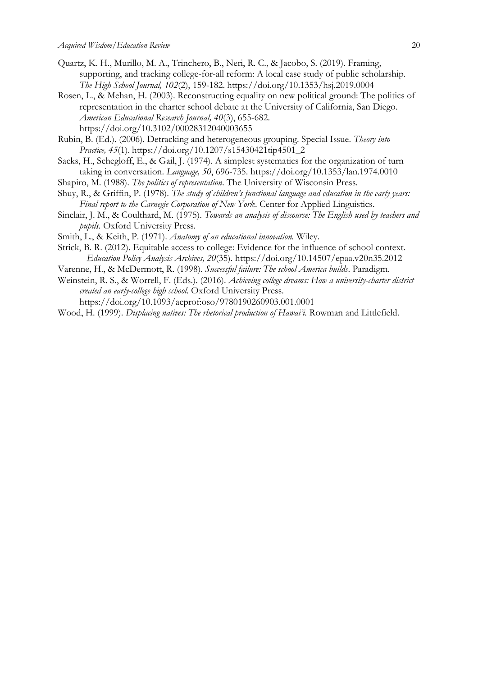- Quartz, K. H., Murillo, M. A., Trinchero, B., Neri, R. C., & Jacobo, S. (2019). Framing, supporting, and tracking college-for-all reform: A local case study of public scholarship. *The High School Journal, 102*(2), 159-182. https://doi.org/10.1353/hsj.2019.0004
- Rosen, L., & Mehan, H. (2003). Reconstructing equality on new political ground: The politics of representation in the charter school debate at the University of California, San Diego. *American Educational Research Journal, 40*(3), 655-682. https://doi.org/10.3102/00028312040003655
- Rubin, B. (Ed.). (2006). Detracking and heterogeneous grouping. Special Issue. *Theory into Practice, 45*(1). https://doi.org/10.1207/s15430421tip4501\_2
- Sacks, H., Schegloff, E., & Gail, J. (1974). A simplest systematics for the organization of turn taking in conversation. *Language, 50*, 696-735. https://doi.org/10.1353/lan.1974.0010
- Shapiro, M. (1988). *The politics of representation*. The University of Wisconsin Press.
- Shuy, R., & Griffin, P. (1978). *The study of children's functional language and education in the early years: Final report to the Carnegie Corporation of New York*. Center for Applied Linguistics.
- Sinclair, J. M., & Coulthard, M. (1975). *Towards an analysis of discourse: The English used by teachers and pupils.* Oxford University Press.
- Smith, L., & Keith, P. (1971). *Anatomy of an educational innovation.* Wiley.
- Strick, B. R. (2012). Equitable access to college: Evidence for the influence of school context. *Education Policy Analysis Archives, 20*(35). https://doi.org/10.14507/epaa.v20n35.2012
- Varenne, H., & McDermott, R. (1998). *Successful failure: The school America builds*. Paradigm.
- Weinstein, R. S., & Worrell, F. (Eds.). (2016). *Achieving college dreams: How a university-charter district created an early-college high school*. Oxford University Press. https://doi.org/10.1093/acprof:oso/9780190260903.001.0001
- Wood, H. (1999). *Displacing natives: The rhetorical production of Hawai'i.* Rowman and Littlefield.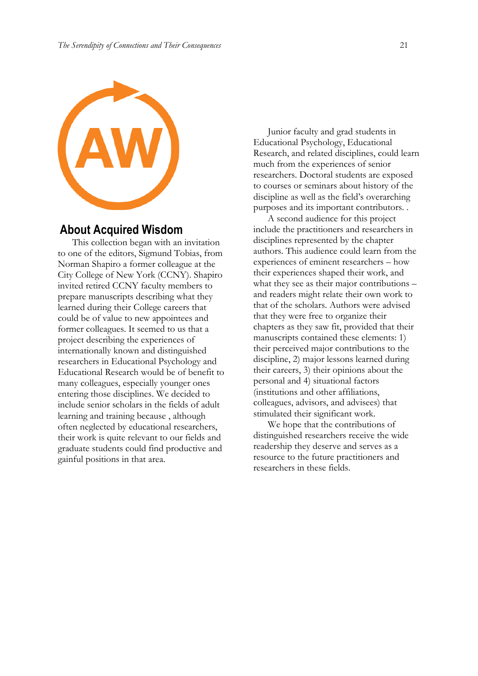

## **About Acquired Wisdom**

This collection began with an invitation to one of the editors, Sigmund Tobias, from Norman Shapiro a former colleague at the City College of New York (CCNY). Shapiro invited retired CCNY faculty members to prepare manuscripts describing what they learned during their College careers that could be of value to new appointees and former colleagues. It seemed to us that a project describing the experiences of internationally known and distinguished researchers in Educational Psychology and Educational Research would be of benefit to many colleagues, especially younger ones entering those disciplines. We decided to include senior scholars in the fields of adult learning and training because , although often neglected by educational researchers, their work is quite relevant to our fields and graduate students could find productive and gainful positions in that area.

Junior faculty and grad students in Educational Psychology, Educational Research, and related disciplines, could learn much from the experiences of senior researchers. Doctoral students are exposed to courses or seminars about history of the discipline as well as the field's overarching purposes and its important contributors. .

A second audience for this project include the practitioners and researchers in disciplines represented by the chapter authors. This audience could learn from the experiences of eminent researchers – how their experiences shaped their work, and what they see as their major contributions – and readers might relate their own work to that of the scholars. Authors were advised that they were free to organize their chapters as they saw fit, provided that their manuscripts contained these elements: 1) their perceived major contributions to the discipline, 2) major lessons learned during their careers, 3) their opinions about the personal and 4) situational factors (institutions and other affiliations, colleagues, advisors, and advisees) that stimulated their significant work.

We hope that the contributions of distinguished researchers receive the wide readership they deserve and serves as a resource to the future practitioners and researchers in these fields.